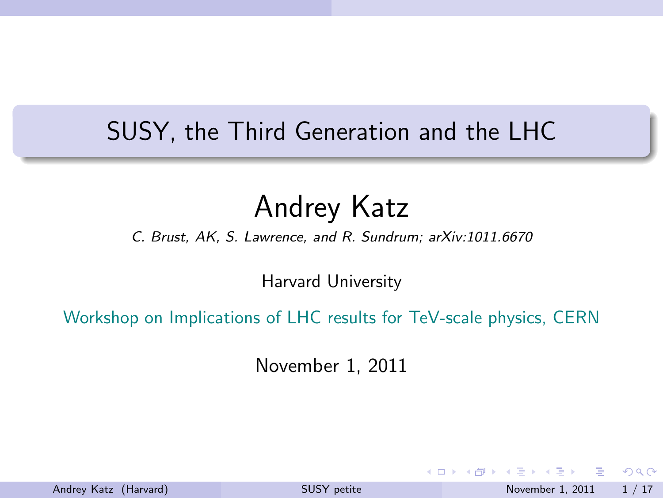# SUSY, the Third Generation and the LHC

# Andrey Katz

*C. Brust, AK, S. Lawrence, and R. Sundrum; arXiv:1011.6670*

Harvard University

Workshop on Implications of LHC results for TeV-scale physics, CERN

November 1, 2011

Andrey Katz (Harvard) [SUSY petite](#page-16-0) November 1, 2011 1/17

<span id="page-0-0"></span> $\Omega$ 

イロト イ押ト イヨト イヨ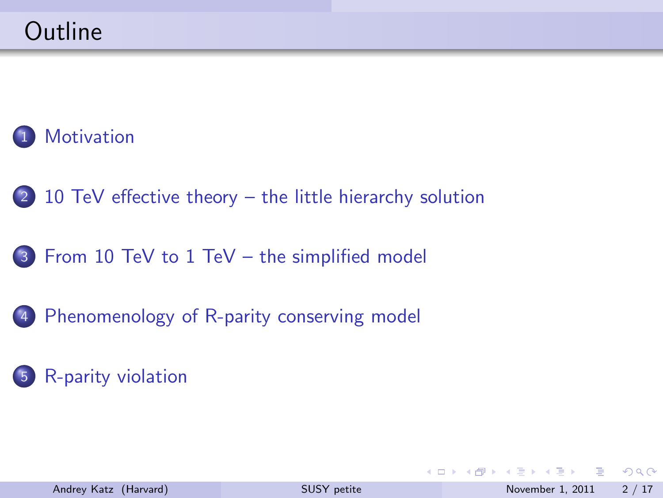# **[Motivation](#page-2-0)**

- 2 [10 TeV effective theory the little hierarchy solution](#page-3-0)
- 3 [From 10 TeV to 1 TeV the simplified model](#page-5-0)
- 4 [Phenomenology of R-parity conserving model](#page-8-0)

### 5 [R-parity violation](#page-13-0)

B  $\Omega$ 

イロト イ母 トイラト イラト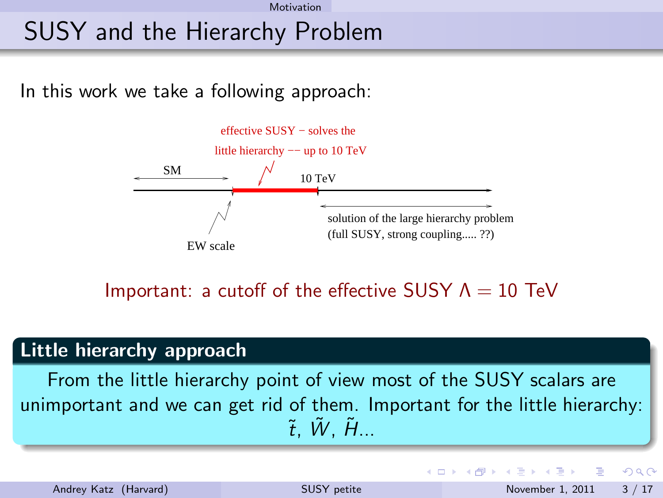#### Motivation

# SUSY and the Hierarchy Problem

In this work we take a following approach:



Important: a cutoff of the effective SUSY  $\Lambda = 10$  TeV

#### Little hierarchy approach

From the little hierarchy point of view most of the SUSY scalars are unimportant and we can get rid of them. Important for the little hierarchy:  $\tilde{t}$ .  $\tilde{W}$ .  $\tilde{H}$ ...

<span id="page-2-0"></span>∢ □ ▶ ⊣ n □ ▶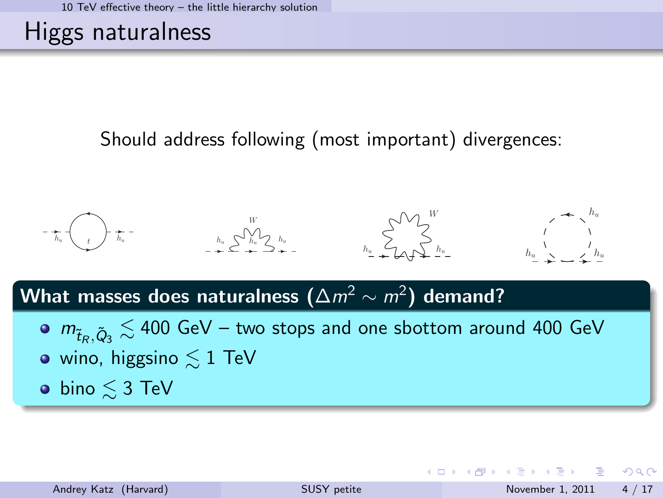# Higgs naturalness

#### Should address following (most important) divergences:



# What masses does naturalness  $(\Delta m^2 \sim m^2)$  demand?

 $m_{\tilde{t}_R,\tilde{Q}_3} \lesssim$  400 GeV – two stops and one sbottom around 400 GeV  $\bullet$  wino, higgsino  $\leq 1$  TeV  $\bullet$  bino  $\leq 3$  TeV

<span id="page-3-0"></span>K ロ ▶ K 個 ▶ K 글 ▶ K 글 ▶ 「 글 」 900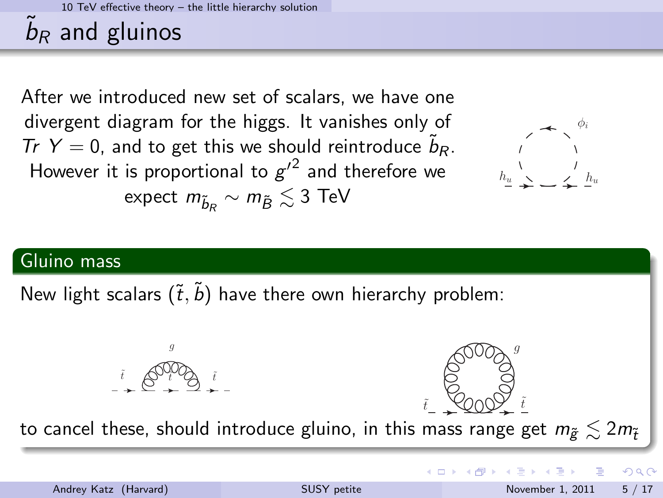10 TeV effective theory – the little hierarchy solution

# $\tilde{b}_R$  and gluinos

After we introduced new set of scalars, we have one divergent diagram for the higgs. It vanishes only of Tr  $Y = 0$ , and to get this we should reintroduce  $\tilde{b}_R$ . However it is proportional to  $g'^2$  and therefore we expect  $m_{\tilde b_R} \sim m_{\tilde B} \lesssim 3$  TeV



#### Gluino mass

New light scalars  $(\tilde{t}, \tilde{b})$  have there own hierarchy problem:

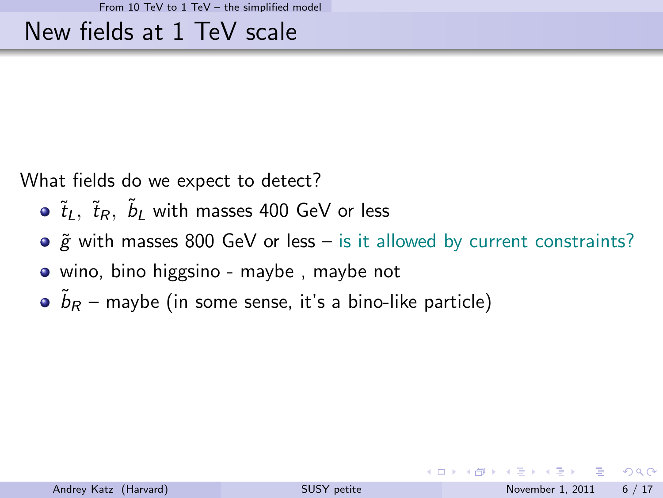### New fields at 1 TeV scale

What fields do we expect to detect?

- $\tilde{t}_L$ ,  $\tilde{t}_R$ ,  $\tilde{b}_L$  with masses 400 GeV or less
- $\circ$   $\tilde{g}$  with masses 800 GeV or less is it allowed by current constraints?
- wino, bino higgsino maybe, maybe not
- $\tilde{b}_R$  maybe (in some sense, it's a bino-like particle)

<span id="page-5-0"></span> $\Omega$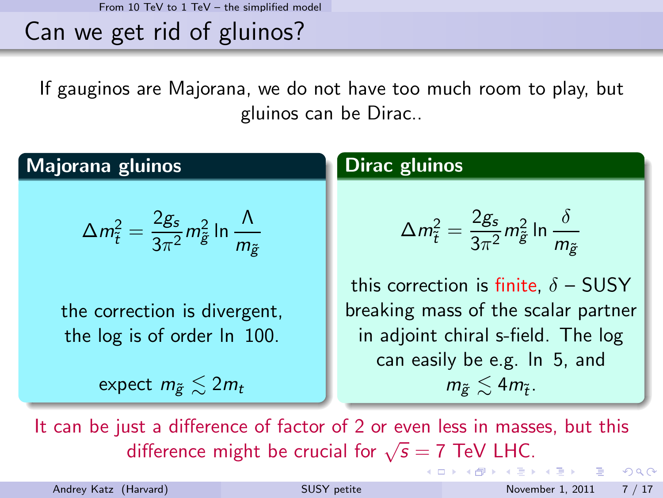From 10 TeV to 1 TeV – the simplified model

Can we get rid of gluinos?

If gauginos are Majorana, we do not have too much room to play, but gluinos can be Dirac..

### Majorana gluinos

$$
\Delta m_{\tilde{t}}^2 = \frac{2g_s}{3\pi^2} m_{\tilde{g}}^2 \ln \frac{\Lambda}{m_{\tilde{g}}}
$$

the correction is divergent, the log is of order ln 100.

expect  $m_{\tilde{p}} \leq 2m_t$ 

#### Dirac gluinos

$$
\Delta m_{\tilde{t}}^2 = \frac{2g_s}{3\pi^2} m_{\tilde{g}}^2 \ln \frac{\delta}{m_{\tilde{g}}}
$$

this correction is finite,  $\delta$  – SUSY breaking mass of the scalar partner in adjoint chiral s-field. The log can easily be e.g. ln 5, and  $m_{\widetilde{g}}\lesssim 4m_{\widetilde{t}}$  .

イロト イ押ト イヨト イヨト

It can be just a difference of factor of 2 or even less in masses, but this difference might be crucial for  $\sqrt{s} = 7$  TeV LHC.

 $ORQ$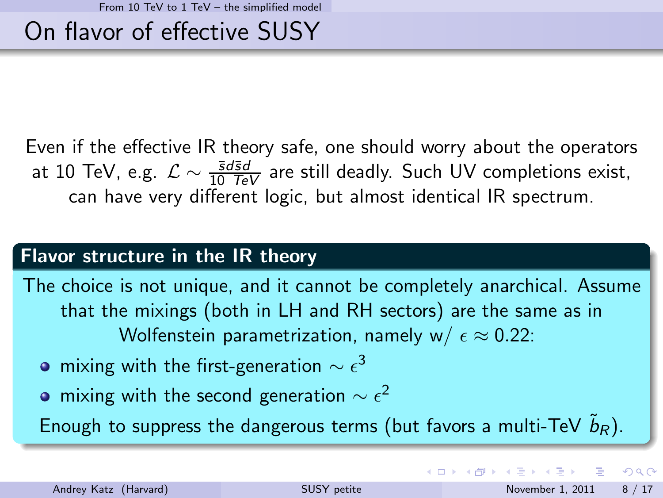# On flavor of effective SUSY

Even if the effective IR theory safe, one should worry about the operators at 10 TeV, e.g.  $\mathcal{L} \sim \frac{\bar{s}d\bar{s}d}{10\;\bar{f}eV}$  are still deadly. Such UV completions exist, can have very different logic, but almost identical IR spectrum.

#### Flavor structure in the IR theory

The choice is not unique, and it cannot be completely anarchical. Assume that the mixings (both in LH and RH sectors) are the same as in Wolfenstein parametrization, namely w/  $\epsilon \approx 0.22$ :

- mixing with the first-generation  $\sim \epsilon^3$
- mixing with the second generation  $\sim \epsilon^2$

Enough to suppress the dangerous terms (but favors a multi-TeV  $\tilde{b}_R$ ).

 $QQ$ 

イロト イ押ト イヨト イヨト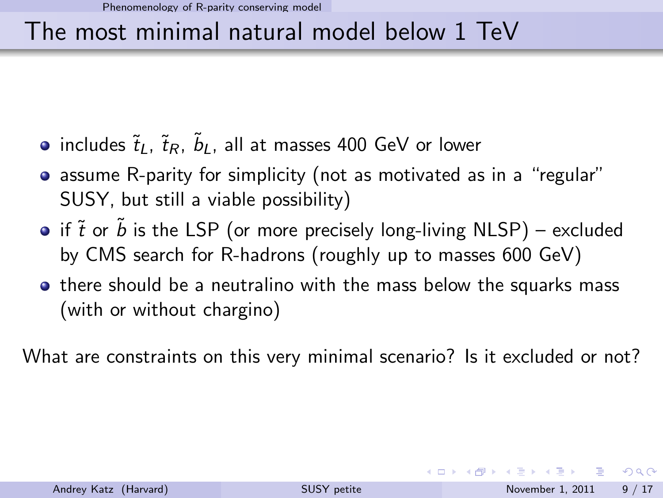# The most minimal natural model below 1 TeV

- $i$ ncludes  $\tilde{t}_L$ ,  $\tilde{t}_R$ ,  $\tilde{b}_L$ , all at masses 400 GeV or lower
- assume R-parity for simplicity (not as motivated as in a "regular" SUSY, but still a viable possibility)
- if  $\tilde{t}$  or  $\tilde{b}$  is the LSP (or more precisely long-living NLSP) excluded by CMS search for R-hadrons (roughly up to masses 600 GeV)
- **•** there should be a neutralino with the mass below the squarks mass (with or without chargino)

What are constraints on this very minimal scenario? Is it excluded or not?

<span id="page-8-0"></span> $=$   $\Omega$ 

イロト イ母 トイラト イラト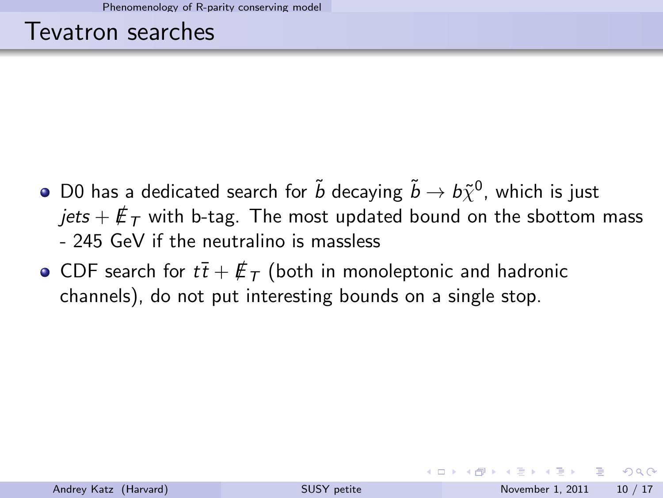### Tevatron searches

- D0 has a dedicated search for  $\tilde{b}$  decaying  $\tilde{b} \to b\tilde{\chi}^0$ , which is just *jets* +  $E_T$  with b-tag. The most updated bound on the sbottom mass - 245 GeV if the neutralino is massless
- CDF search for  $t\bar{t} + \not{E}_T$  (both in monoleptonic and hadronic channels), do not put interesting bounds on a single stop.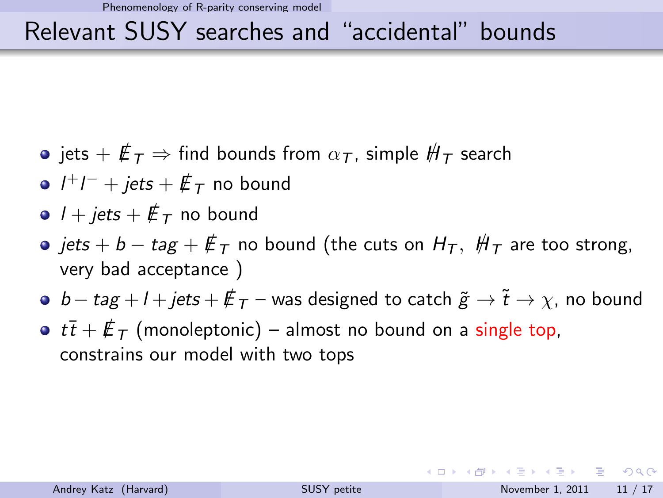# Relevant SUSY searches and "accidental" bounds

- jets  $+ \not\!{E}_T \Rightarrow$  find bounds from  $\alpha_T$ , simple  $H_T$  search
- $l^+l^-+jets+\rlap{\,/}\,\varepsilon_F$  no bound
- $\bullet$  *l* + *jets* +  $\not\mathbb{E}$ <sub>*T*</sub> no bound
- $\bullet$  *jets* + *b tag* +  $\not{E}_T$  no bound (the cuts on  $H_T$ ,  $H_T$  are too strong, very bad acceptance )
- $\bullet$  *b tag + l + jets +*  $E_T$  *was designed to catch*  $\tilde{g} \rightarrow \tilde{t} \rightarrow \chi$ *, no bound*
- $t\overline{t} + \overline{E}_T$  (monoleptonic) almost no bound on a single top, constrains our model with two tops

**KOD KAD KED KED E VAN**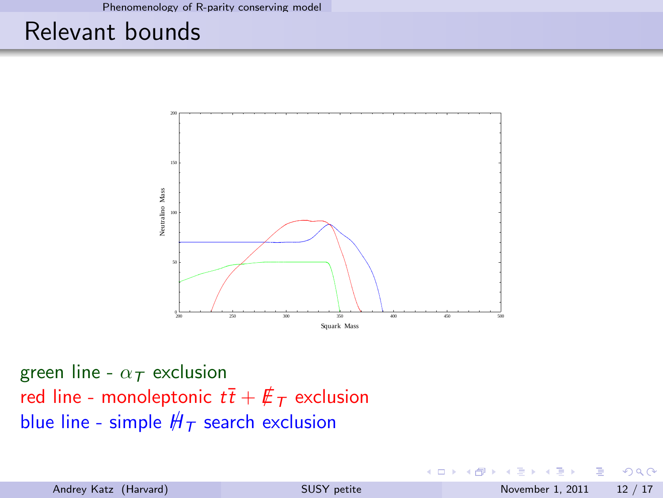# Relevant bounds



green line - α*<sup>T</sup>* exclusion red line - monoleptonic  $t\bar{t} + \not{E}_T$  exclusion blue line - simple  $H_T$  search exclusion

4 **ED** 

œ.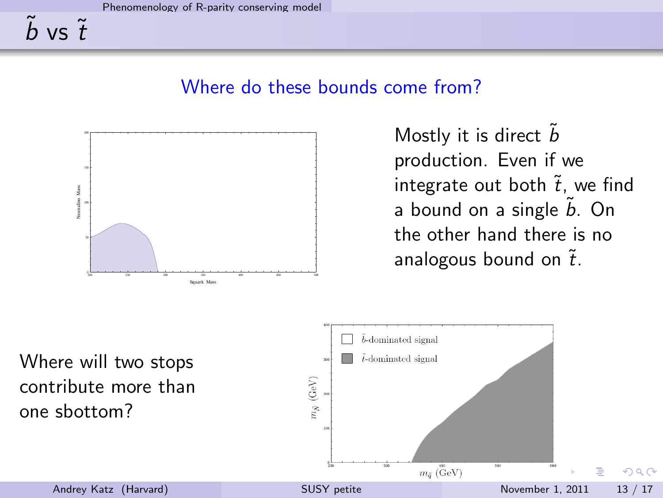#### Where do these bounds come from?



<span id="page-12-0"></span>Mostly it is direct  $\tilde{b}$ production. Even if we integrate out both  $\tilde{t}$ , we find a bound on a single  $\tilde{b}$ . On the other hand there is no analogous bound on  $\tilde{t}$ .

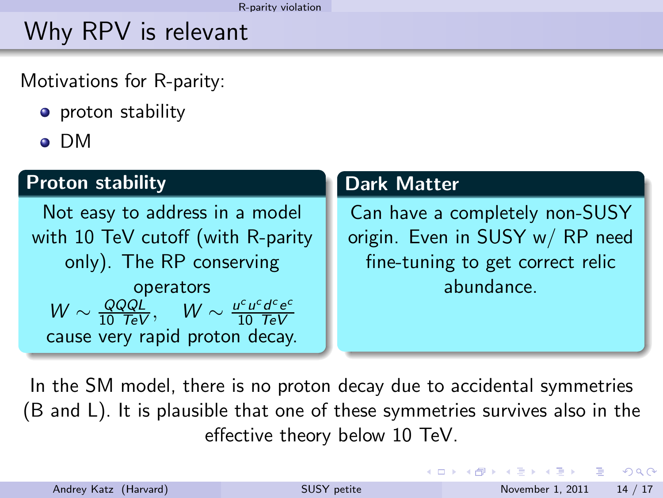# Why RPV is relevant

Motivations for R-parity:

- proton stability
- DM

#### Proton stability

Not easy to address in a model with 10 TeV cutoff (with R-parity only). The RP conserving operators  $W \sim \frac{QQQL}{10 \ TeV}$ ,  $W \sim \frac{u^c u^c d^c e^c}{10 \ TeV}$ 10 *TeV* cause very rapid proton decay.

#### Dark Matter

Can have a completely non-SUSY origin. Even in SUSY w/ RP need fine-tuning to get correct relic abundance.

In the SM model, there is no proton decay due to accidental symmetries (B and L). It is plausible that one of these symmetries survives also in the effective theory below 10 TeV.

<span id="page-13-0"></span>**KOD KAD KED KED E VOOR**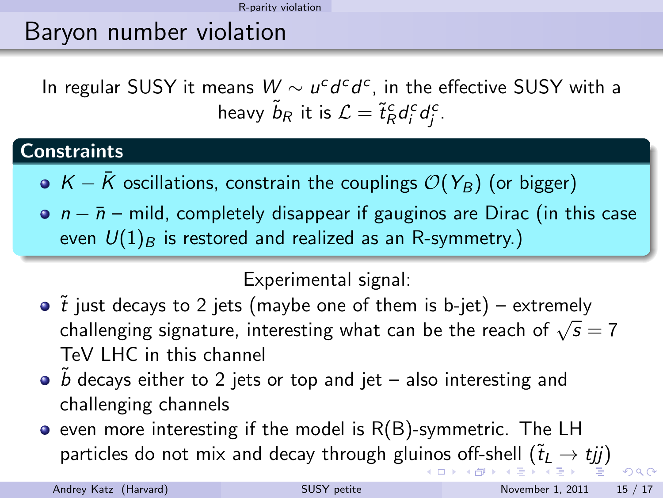# Baryon number violation

In regular SUSY it means  $W \sim u^c d^c d^c$ , in the effective SUSY with a heavy  $\tilde{b}_R$  it is  $\mathcal{L} = \tilde{t}_R^c d_i^c d_j^c$ .

#### **Constraints**

- $\bullet$  K  $\overline{K}$  oscillations, constrain the couplings  $\mathcal{O}(Y_B)$  (or bigger)
- $n \bar{n}$  mild, completely disappear if gauginos are Dirac (in this case even  $U(1)_B$  is restored and realized as an R-symmetry.)

### <span id="page-14-0"></span>Experimental signal:

- $\bullet$   $\tilde{t}$  just decays to 2 jets (maybe one of them is b-jet) extremely challenging signature, interesting what can be the reach of  $\sqrt{s} = 7$ TeV LHC in this channel
- $\bullet$   $\tilde{b}$  decays either to 2 jets or top and jet also interesting and challenging channels
- $\bullet$  even more interesting if the model is  $R(B)$ -symmetric. The LH particles do not mix and decay through glu[ino](#page-13-0)[s](#page-15-0) [o](#page-13-0)[ff-s](#page-14-0)[h](#page-15-0)[e](#page-12-0)[ll](#page-13-0)  $(\tilde{t}_L \rightarrow tjj)$  $(\tilde{t}_L \rightarrow tjj)$  $(\tilde{t}_L \rightarrow tjj)$  $(\tilde{t}_L \rightarrow tjj)$  $(\tilde{t}_L \rightarrow tjj)$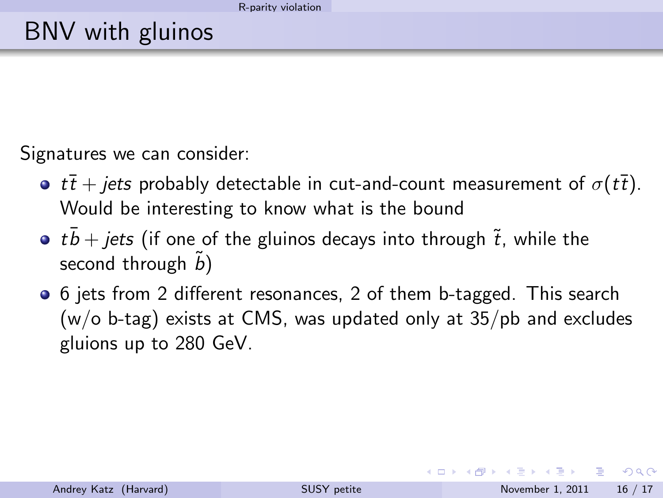# BNV with gluinos

Signatures we can consider:

- **•**  $t\bar{t}$  + jets probably detectable in cut-and-count measurement of  $\sigma(t\bar{t})$ . Would be interesting to know what is the bound
- tb + jets (if one of the gluinos decays into through  $\tilde{t}$ , while the second through  $\tilde{b}$ )
- 6 jets from 2 different resonances, 2 of them b-tagged. This search (w/o b-tag) exists at CMS, was updated only at 35/pb and excludes gluions up to 280 GeV.

<span id="page-15-0"></span> $QQQ$